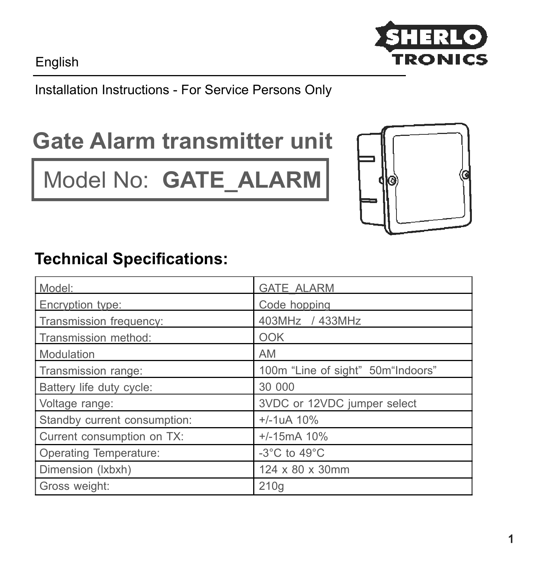English



#### Installation Instructions - For Service Persons Only

# **Gate Alarm transmitter unit**

Model No: **GATE\_ALARM**



#### **Technical Specifications:**

| Model:                       | <b>GATE ALARM</b>                  |
|------------------------------|------------------------------------|
| Encryption type:             | Code hopping                       |
| Transmission frequency:      | 403MHz / 433MHz                    |
| Transmission method:         | OOK                                |
| Modulation                   | AM                                 |
| Transmission range:          | 100m "Line of sight" 50m "Indoors" |
| Battery life duty cycle:     | 30 000                             |
| Voltage range:               | 3VDC or 12VDC jumper select        |
| Standby current consumption: | $+/-1$ uA 10%                      |
| Current consumption on TX:   | $+/-15mA$ 10%                      |
| Operating Temperature:       | -3 $^{\circ}$ C to 49 $^{\circ}$ C |
| Dimension (Ixbxh)            | 124 x 80 x 30mm                    |
| Gross weight:                | 210q                               |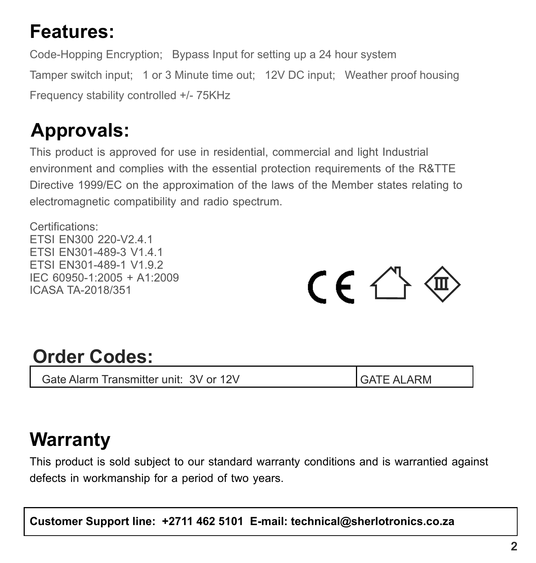## **Features:**

Code-Hopping Encryption; Bypass Input for setting up a 24 hour system Tamper switch input; 1 or 3 Minute time out; 12V DC input; Weather proof housing Frequency stability controlled +/- 75KHz

## **Approvals:**

This product is approved for use in residential, commercial and light Industrial environment and complies with the essential protection requirements of the R&TTE Directive 1999/EC on the approximation of the laws of the Member states relating to electromagnetic compatibility and radio spectrum.

Certifications: ETSI EN300 220-V2.4.1 ETSI EN301-489-3 V1.4.1 ETSI EN301-489-1 V1.9.2 IEC 60950-1:2005 + A1:2009 ICASA TA-2018/351



#### **Order Codes:**

Gate Alarm Transmitter unit: 3V or 12V GATE ALARM

### **Warranty**

This product is sold subject to our standard warranty conditions and is warrantied against defects in workmanship for a period of two years.

**Customer Support line: +2711 462 5101 E-mail: technical@sherlotronics.co.za**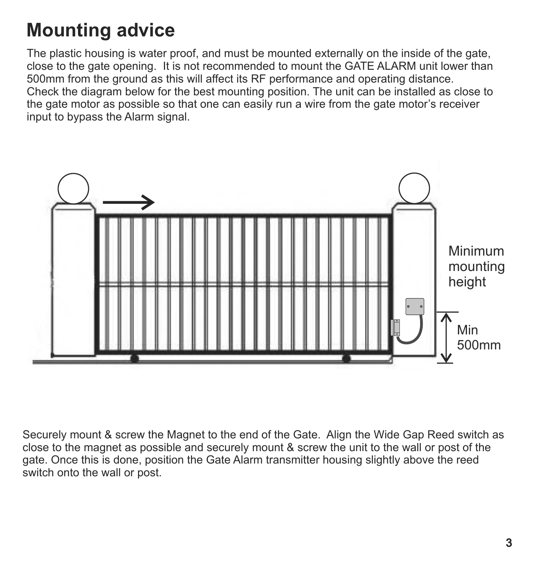## **Mounting advice**

The plastic housing is water proof, and must be mounted externally on the inside of the gate, close to the gate opening. It is not recommended to mount the GATE ALARM unit lower than 500mm from the ground as this will affect its RF performance and operating distance. Check the diagram below for the best mounting position. The unit can be installed as close to the gate motor as possible so that one can easily run a wire from the gate motor's receiver input to bypass the Alarm signal.



Securely mount & screw the Magnet to the end of the Gate. Align the Wide Gap Reed switch as close to the magnet as possible and securely mount & screw the unit to the wall or post of the gate. Once this is done, position the Gate Alarm transmitter housing slightly above the reed switch onto the wall or post.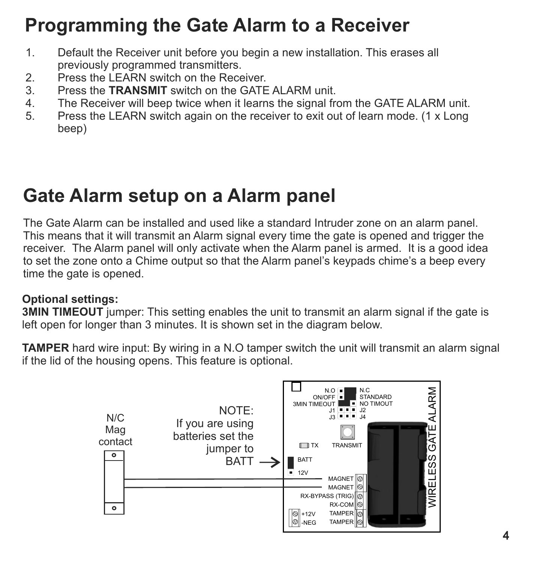## **Programming the Gate Alarm to a Receiver**

- 1. Default the Receiver unit before you begin a new installation. This erases all previously programmed transmitters.<br>2. Press the LEARN switch on the Rece
- 2. Press the LEARN switch on the Receiver.<br>3 Press the **TRANSMIT** switch on the GATE
- 3. Press the **TRANSMIT** switch on the GATE ALARM unit.
- 4. The Receiver will beep twice when it learns the signal from the GATE ALARM unit.<br>Frace the LEARN switch again on the receiver to exit out of learn mode (1 x l ong)
- 5. Press the LEARN switch again on the receiver to exit out of learn mode. (1 x Long beep)

#### **Gate Alarm setup on a Alarm panel**

The Gate Alarm can be installed and used like a standard Intruder zone on an alarm panel. This means that it will transmit an Alarm signal every time the gate is opened and trigger the receiver. The Alarm panel will only activate when the Alarm panel is armed. It is a good idea to set the zone onto a Chime output so that the Alarm panel's keypads chime's a beep every time the gate is opened.

#### **Optional settings:**

**3MIN TIMEOUT** jumper: This setting enables the unit to transmit an alarm signal if the gate is left open for longer than 3 minutes. It is shown set in the diagram below.

**TAMPER** hard wire input: By wiring in a N.O tamper switch the unit will transmit an alarm signal if the lid of the housing opens. This feature is optional.

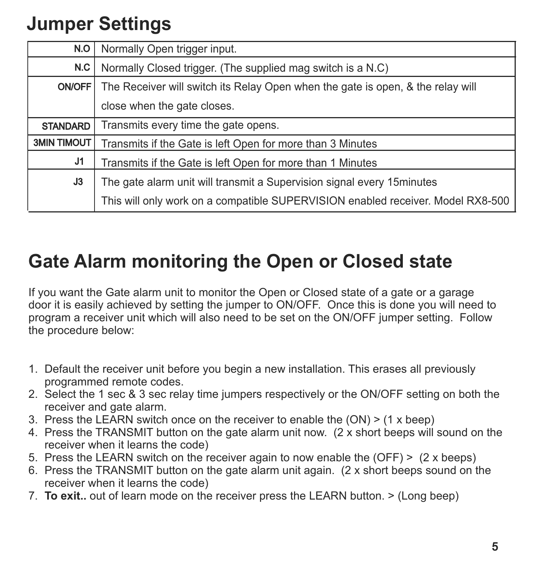## **Jumper Settings**

| N.O                | Normally Open trigger input.                                                    |
|--------------------|---------------------------------------------------------------------------------|
| N.C                | Normally Closed trigger. (The supplied mag switch is a N.C)                     |
| <b>ON/OFF</b>      | The Receiver will switch its Relay Open when the gate is open, & the relay will |
|                    | close when the gate closes.                                                     |
| <b>STANDARD</b>    | Transmits every time the gate opens.                                            |
| <b>3MIN TIMOUT</b> | Transmits if the Gate is left Open for more than 3 Minutes                      |
| J1                 | Transmits if the Gate is left Open for more than 1 Minutes                      |
| J3                 | The gate alarm unit will transmit a Supervision signal every 15minutes          |
|                    | This will only work on a compatible SUPERVISION enabled receiver. Model RX8-500 |

### **Gate Alarm monitoring the Open or Closed state**

If you want the Gate alarm unit to monitor the Open or Closed state of a gate or a garage door it is easily achieved by setting the jumper to ON/OFF. Once this is done you will need to program a receiver unit which will also need to be set on the ON/OFF jumper setting. Follow the procedure below:

- 1. Default the receiver unit before you begin a new installation. This erases all previously programmed remote codes.
- 2. Select the 1 sec & 3 sec relay time jumpers respectively or the ON/OFF setting on both the receiver and gate alarm.
- 3. Press the LEARN switch once on the receiver to enable the (ON) > (1 x beep)
- 4. Press the TRANSMIT button on the gate alarm unit now. (2 x short beeps will sound on the receiver when it learns the code)
- 5. Press the LEARN switch on the receiver again to now enable the (OFF) > (2 x beeps)
- 6. Press the TRANSMIT button on the gate alarm unit again. (2 x short beeps sound on the receiver when it learns the code)
- 7. **To exit..** out of learn mode on the receiver press the LEARN button. > (Long beep)